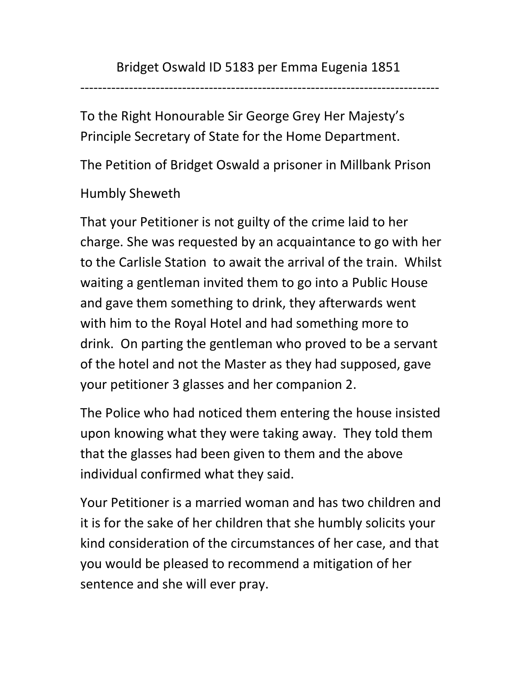---------------------------------------------------------------------------------

To the Right Honourable Sir George Grey Her Majesty's Principle Secretary of State for the Home Department.

The Petition of Bridget Oswald a prisoner in Millbank Prison

## Humbly Sheweth

That your Petitioner is not guilty of the crime laid to her charge. She was requested by an acquaintance to go with her to the Carlisle Station to await the arrival of the train. Whilst waiting a gentleman invited them to go into a Public House and gave them something to drink, they afterwards went with him to the Royal Hotel and had something more to drink. On parting the gentleman who proved to be a servant of the hotel and not the Master as they had supposed, gave your petitioner 3 glasses and her companion 2.

The Police who had noticed them entering the house insisted upon knowing what they were taking away. They told them that the glasses had been given to them and the above individual confirmed what they said.

Your Petitioner is a married woman and has two children and it is for the sake of her children that she humbly solicits your kind consideration of the circumstances of her case, and that you would be pleased to recommend a mitigation of her sentence and she will ever pray.